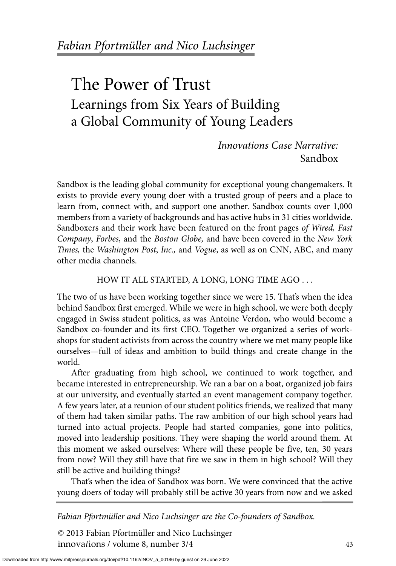# The Power of Trust Learnings from Six Years of Building a Global Community of Young Leaders

*Innovations Case Narrative:*  Sandbox

Sandbox is the leading global community for exceptional young changemakers. It exists to provide every young doer with a trusted group of peers and a place to learn from, connect with, and support one another. Sandbox counts over 1,000 members from a variety of backgrounds and has active hubs in 31 cities worldwide. Sandboxers and their work have been featured on the front pages *of Wired, Fast Company*, *Forbes*, and the *Boston Globe,* and have been covered in the *New York Times,* the *Washington Post*, *Inc.,* and *Vogue*, as well as on CNN, ABC, and many other media channels.

## HOW IT ALL STARTED, A LONG, LONG TIME AGO . . .

The two of us have been working together since we were 15. That's when the idea behind Sandbox first emerged. While we were in high school, we were both deeply engaged in Swiss student politics, as was Antoine Verdon, who would become a Sandbox co-founder and its first CEO. Together we organized a series of workshops for student activists from across the country where we met many people like ourselves—full of ideas and ambition to build things and create change in the world.

After graduating from high school, we continued to work together, and became interested in entrepreneurship. We ran a bar on a boat, organized job fairs at our university, and eventually started an event management company together. A few years later, at a reunion of our student politics friends, we realized that many of them had taken similar paths. The raw ambition of our high school years had turned into actual projects. People had started companies, gone into politics, moved into leadership positions. They were shaping the world around them. At this moment we asked ourselves: Where will these people be five, ten, 30 years from now? Will they still have that fire we saw in them in high school? Will they still be active and building things?

That's when the idea of Sandbox was born. We were convinced that the active young doers of today will probably still be active 30 years from now and we asked

*Fabian Pfortmüller and Nico Luchsinger are the Co-founders of Sandbox.*

© 2013 Fabian Pfortmüller and Nico Luchsinger innova*t*ions / volume 8, number 3/4 43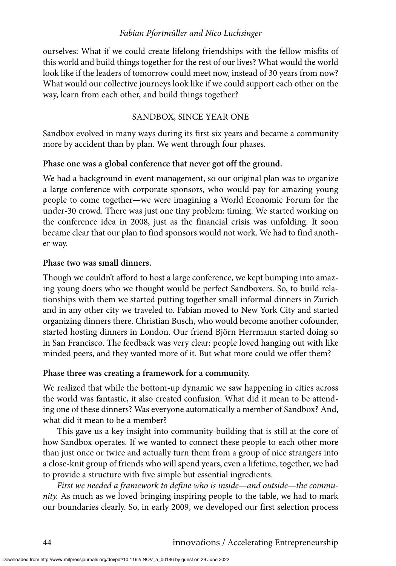ourselves: What if we could create lifelong friendships with the fellow misfits of this world and build things together for the rest of our lives? What would the world look like if the leaders of tomorrow could meet now, instead of 30 years from now? What would our collective journeys look like if we could support each other on the way, learn from each other, and build things together?

## SANDBOX, SINCE YEAR ONE

Sandbox evolved in many ways during its first six years and became a community more by accident than by plan. We went through four phases.

## **Phase one was a global conference that never got off the ground.**

We had a background in event management, so our original plan was to organize a large conference with corporate sponsors, who would pay for amazing young people to come together—we were imagining a World Economic Forum for the under-30 crowd. There was just one tiny problem: timing. We started working on the conference idea in 2008, just as the financial crisis was unfolding. It soon became clear that our plan to find sponsors would not work. We had to find another way.

#### **Phase two was small dinners.**

Though we couldn't afford to host a large conference, we kept bumping into amazing young doers who we thought would be perfect Sandboxers. So, to build relationships with them we started putting together small informal dinners in Zurich and in any other city we traveled to. Fabian moved to New York City and started organizing dinners there. Christian Busch, who would become another cofounder, started hosting dinners in London. Our friend Björn Herrmann started doing so in San Francisco. The feedback was very clear: people loved hanging out with like minded peers, and they wanted more of it. But what more could we offer them?

# **Phase three was creating a framework for a community.**

We realized that while the bottom-up dynamic we saw happening in cities across the world was fantastic, it also created confusion. What did it mean to be attending one of these dinners? Was everyone automatically a member of Sandbox? And, what did it mean to be a member?

This gave us a key insight into community-building that is still at the core of how Sandbox operates. If we wanted to connect these people to each other more than just once or twice and actually turn them from a group of nice strangers into a close-knit group of friends who will spend years, even a lifetime, together, we had to provide a structure with five simple but essential ingredients.

*First we needed a framework to define who is inside—and outside—the community.* As much as we loved bringing inspiring people to the table, we had to mark our boundaries clearly. So, in early 2009, we developed our first selection process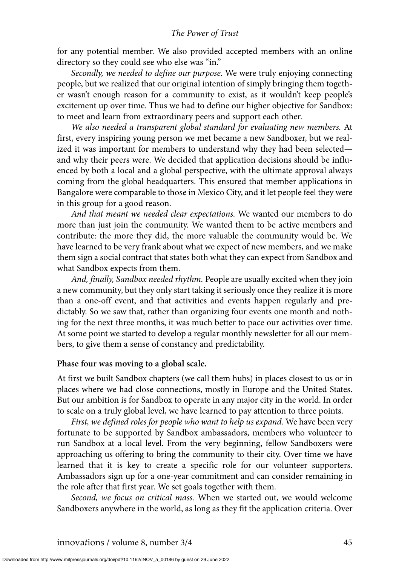for any potential member. We also provided accepted members with an online directory so they could see who else was "in."

*Secondly, we needed to define our purpose.* We were truly enjoying connecting people, but we realized that our original intention of simply bringing them together wasn't enough reason for a community to exist, as it wouldn't keep people's excitement up over time. Thus we had to define our higher objective for Sandbox: to meet and learn from extraordinary peers and support each other.

*We also needed a transparent global standard for evaluating new members.* At first, every inspiring young person we met became a new Sandboxer, but we realized it was important for members to understand why they had been selected and why their peers were. We decided that application decisions should be influenced by both a local and a global perspective, with the ultimate approval always coming from the global headquarters. This ensured that member applications in Bangalore were comparable to those in Mexico City, and it let people feel they were in this group for a good reason.

*And that meant we needed clear expectations.* We wanted our members to do more than just join the community. We wanted them to be active members and contribute: the more they did, the more valuable the community would be. We have learned to be very frank about what we expect of new members, and we make them sign a social contract that states both what they can expect from Sandbox and what Sandbox expects from them.

*And, finally, Sandbox needed rhythm.* People are usually excited when they join a new community, but they only start taking it seriously once they realize it is more than a one-off event, and that activities and events happen regularly and predictably. So we saw that, rather than organizing four events one month and nothing for the next three months, it was much better to pace our activities over time. At some point we started to develop a regular monthly newsletter for all our members, to give them a sense of constancy and predictability.

#### **Phase four was moving to a global scale.**

At first we built Sandbox chapters (we call them hubs) in places closest to us or in places where we had close connections, mostly in Europe and the United States. But our ambition is for Sandbox to operate in any major city in the world. In order to scale on a truly global level, we have learned to pay attention to three points.

*First, we defined roles for people who want to help us expand.* We have been very fortunate to be supported by Sandbox ambassadors, members who volunteer to run Sandbox at a local level. From the very beginning, fellow Sandboxers were approaching us offering to bring the community to their city. Over time we have learned that it is key to create a specific role for our volunteer supporters. Ambassadors sign up for a one-year commitment and can consider remaining in the role after that first year. We set goals together with them.

*Second, we focus on critical mass.* When we started out, we would welcome Sandboxers anywhere in the world, as long as they fit the application criteria. Over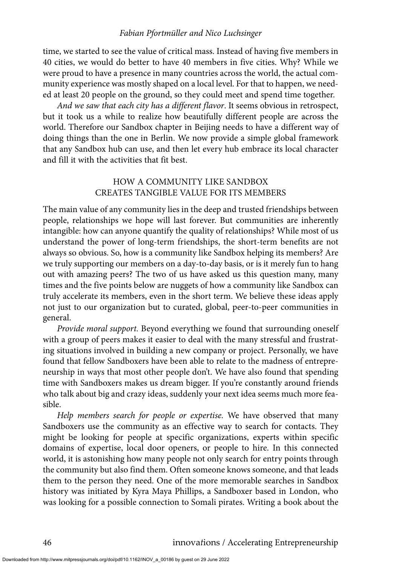time, we started to see the value of critical mass. Instead of having five members in 40 cities, we would do better to have 40 members in five cities. Why? While we were proud to have a presence in many countries across the world, the actual community experience was mostly shaped on a local level. For that to happen, we needed at least 20 people on the ground, so they could meet and spend time together.

*And we saw that each city has a different flavor*. It seems obvious in retrospect, but it took us a while to realize how beautifully different people are across the world. Therefore our Sandbox chapter in Beijing needs to have a different way of doing things than the one in Berlin. We now provide a simple global framework that any Sandbox hub can use, and then let every hub embrace its local character and fill it with the activities that fit best.

# HOW A COMMUNITY LIKE SANDBOX CREATES TANGIBLE VALUE FOR ITS MEMBERS

The main value of any community lies in the deep and trusted friendships between people, relationships we hope will last forever. But communities are inherently intangible: how can anyone quantify the quality of relationships? While most of us understand the power of long-term friendships, the short-term benefits are not always so obvious. So, how is a community like Sandbox helping its members? Are we truly supporting our members on a day-to-day basis, or is it merely fun to hang out with amazing peers? The two of us have asked us this question many, many times and the five points below are nuggets of how a community like Sandbox can truly accelerate its members, even in the short term. We believe these ideas apply not just to our organization but to curated, global, peer-to-peer communities in general.

*Provide moral support.* Beyond everything we found that surrounding oneself with a group of peers makes it easier to deal with the many stressful and frustrating situations involved in building a new company or project. Personally, we have found that fellow Sandboxers have been able to relate to the madness of entrepreneurship in ways that most other people don't. We have also found that spending time with Sandboxers makes us dream bigger. If you're constantly around friends who talk about big and crazy ideas, suddenly your next idea seems much more feasible.

*Help members search for people or expertise.* We have observed that many Sandboxers use the community as an effective way to search for contacts. They might be looking for people at specific organizations, experts within specific domains of expertise, local door openers, or people to hire. In this connected world, it is astonishing how many people not only search for entry points through the community but also find them. Often someone knows someone, and that leads them to the person they need. One of the more memorable searches in Sandbox history was initiated by Kyra Maya Phillips, a Sandboxer based in London, who was looking for a possible connection to Somali pirates. Writing a book about the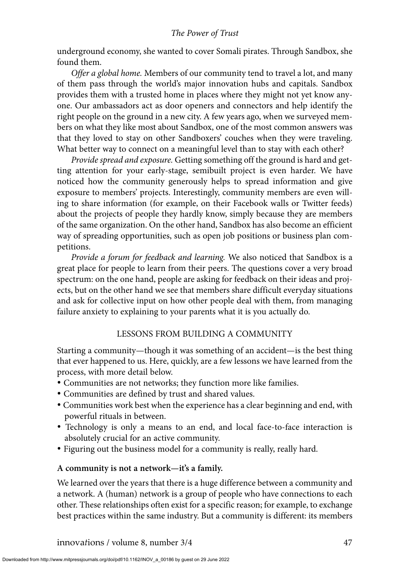underground economy, she wanted to cover Somali pirates. Through Sandbox, she found them.

*Offer a global home.* Members of our community tend to travel a lot, and many of them pass through the world's major innovation hubs and capitals. Sandbox provides them with a trusted home in places where they might not yet know anyone. Our ambassadors act as door openers and connectors and help identify the right people on the ground in a new city. A few years ago, when we surveyed members on what they like most about Sandbox, one of the most common answers was that they loved to stay on other Sandboxers' couches when they were traveling. What better way to connect on a meaningful level than to stay with each other?

*Provide spread and exposure.* Getting something off the ground is hard and getting attention for your early-stage, semibuilt project is even harder. We have noticed how the community generously helps to spread information and give exposure to members' projects. Interestingly, community members are even willing to share information (for example, on their Facebook walls or Twitter feeds) about the projects of people they hardly know, simply because they are members of the same organization. On the other hand, Sandbox has also become an efficient way of spreading opportunities, such as open job positions or business plan competitions.

*Provide a forum for feedback and learning.* We also noticed that Sandbox is a great place for people to learn from their peers. The questions cover a very broad spectrum: on the one hand, people are asking for feedback on their ideas and projects, but on the other hand we see that members share difficult everyday situations and ask for collective input on how other people deal with them, from managing failure anxiety to explaining to your parents what it is you actually do.

# LESSONS FROM BUILDING A COMMUNITY

Starting a community—though it was something of an accident—is the best thing that ever happened to us. Here, quickly, are a few lessons we have learned from the process, with more detail below.

- -Communities are not networks; they function more like families.
- -Communities are defined by trust and shared values.
- -Communities work best when the experience has a clear beginning and end, with powerful rituals in between.
- Technology is only a means to an end, and local face-to-face interaction is absolutely crucial for an active community.
- -Figuring out the business model for a community is really, really hard.

# **A community is not a network—it's a family.**

We learned over the years that there is a huge difference between a community and a network. A (human) network is a group of people who have connections to each other. These relationships often exist for a specific reason; for example, to exchange best practices within the same industry. But a community is different: its members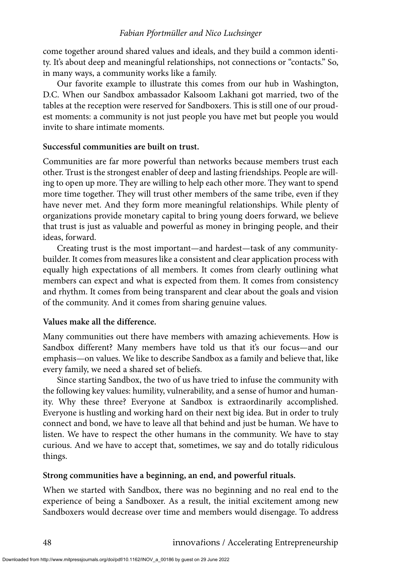come together around shared values and ideals, and they build a common identity. It's about deep and meaningful relationships, not connections or "contacts." So, in many ways, a community works like a family.

Our favorite example to illustrate this comes from our hub in Washington, D.C. When our Sandbox ambassador Kalsoom Lakhani got married, two of the tables at the reception were reserved for Sandboxers. This is still one of our proudest moments: a community is not just people you have met but people you would invite to share intimate moments.

## **Successful communities are built on trust.**

Communities are far more powerful than networks because members trust each other. Trust is the strongest enabler of deep and lasting friendships. People are willing to open up more. They are willing to help each other more. They want to spend more time together. They will trust other members of the same tribe, even if they have never met. And they form more meaningful relationships. While plenty of organizations provide monetary capital to bring young doers forward, we believe that trust is just as valuable and powerful as money in bringing people, and their ideas, forward.

Creating trust is the most important—and hardest—task of any communitybuilder. It comes from measures like a consistent and clear application process with equally high expectations of all members. It comes from clearly outlining what members can expect and what is expected from them. It comes from consistency and rhythm. It comes from being transparent and clear about the goals and vision of the community. And it comes from sharing genuine values.

# **Values make all the difference.**

Many communities out there have members with amazing achievements. How is Sandbox different? Many members have told us that it's our focus—and our emphasis—on values. We like to describe Sandbox as a family and believe that, like every family, we need a shared set of beliefs.

Since starting Sandbox, the two of us have tried to infuse the community with the following key values: humility, vulnerability, and a sense of humor and humanity. Why these three? Everyone at Sandbox is extraordinarily accomplished. Everyone is hustling and working hard on their next big idea. But in order to truly connect and bond, we have to leave all that behind and just be human. We have to listen. We have to respect the other humans in the community. We have to stay curious. And we have to accept that, sometimes, we say and do totally ridiculous things.

# **Strong communities have a beginning, an end, and powerful rituals.**

When we started with Sandbox, there was no beginning and no real end to the experience of being a Sandboxer. As a result, the initial excitement among new Sandboxers would decrease over time and members would disengage. To address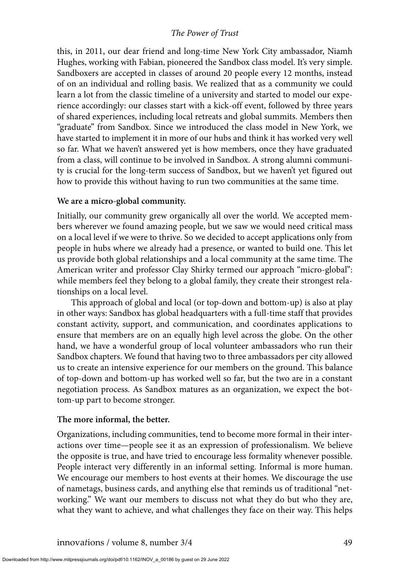this, in 2011, our dear friend and long-time New York City ambassador, Niamh Hughes, working with Fabian, pioneered the Sandbox class model. It's very simple. Sandboxers are accepted in classes of around 20 people every 12 months, instead of on an individual and rolling basis. We realized that as a community we could learn a lot from the classic timeline of a university and started to model our experience accordingly: our classes start with a kick-off event, followed by three years of shared experiences, including local retreats and global summits. Members then "graduate" from Sandbox. Since we introduced the class model in New York, we have started to implement it in more of our hubs and think it has worked very well so far. What we haven't answered yet is how members, once they have graduated from a class, will continue to be involved in Sandbox. A strong alumni community is crucial for the long-term success of Sandbox, but we haven't yet figured out how to provide this without having to run two communities at the same time.

#### **We are a micro-global community.**

Initially, our community grew organically all over the world. We accepted members wherever we found amazing people, but we saw we would need critical mass on a local level if we were to thrive. So we decided to accept applications only from people in hubs where we already had a presence, or wanted to build one. This let us provide both global relationships and a local community at the same time. The American writer and professor Clay Shirky termed our approach "micro-global": while members feel they belong to a global family, they create their strongest relationships on a local level.

This approach of global and local (or top-down and bottom-up) is also at play in other ways: Sandbox has global headquarters with a full-time staff that provides constant activity, support, and communication, and coordinates applications to ensure that members are on an equally high level across the globe. On the other hand, we have a wonderful group of local volunteer ambassadors who run their Sandbox chapters. We found that having two to three ambassadors per city allowed us to create an intensive experience for our members on the ground. This balance of top-down and bottom-up has worked well so far, but the two are in a constant negotiation process. As Sandbox matures as an organization, we expect the bottom-up part to become stronger.

#### **The more informal, the better.**

Organizations, including communities, tend to become more formal in their interactions over time—people see it as an expression of professionalism. We believe the opposite is true, and have tried to encourage less formality whenever possible. People interact very differently in an informal setting. Informal is more human. We encourage our members to host events at their homes. We discourage the use of nametags, business cards, and anything else that reminds us of traditional "networking." We want our members to discuss not what they do but who they are, what they want to achieve, and what challenges they face on their way. This helps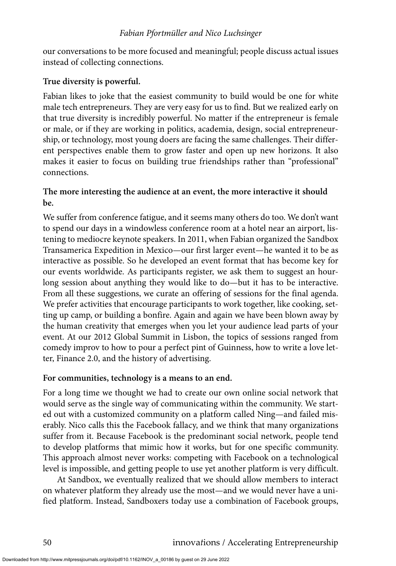our conversations to be more focused and meaningful; people discuss actual issues instead of collecting connections.

# **True diversity is powerful.**

Fabian likes to joke that the easiest community to build would be one for white male tech entrepreneurs. They are very easy for us to find. But we realized early on that true diversity is incredibly powerful. No matter if the entrepreneur is female or male, or if they are working in politics, academia, design, social entrepreneurship, or technology, most young doers are facing the same challenges. Their different perspectives enable them to grow faster and open up new horizons. It also makes it easier to focus on building true friendships rather than "professional" connections.

# **The more interesting the audience at an event, the more interactive it should be.**

We suffer from conference fatigue, and it seems many others do too. We don't want to spend our days in a windowless conference room at a hotel near an airport, listening to mediocre keynote speakers. In 2011, when Fabian organized the Sandbox Transamerica Expedition in Mexico—our first larger event—he wanted it to be as interactive as possible. So he developed an event format that has become key for our events worldwide. As participants register, we ask them to suggest an hourlong session about anything they would like to do—but it has to be interactive. From all these suggestions, we curate an offering of sessions for the final agenda. We prefer activities that encourage participants to work together, like cooking, setting up camp, or building a bonfire. Again and again we have been blown away by the human creativity that emerges when you let your audience lead parts of your event. At our 2012 Global Summit in Lisbon, the topics of sessions ranged from comedy improv to how to pour a perfect pint of Guinness, how to write a love letter, Finance 2.0, and the history of advertising.

# **For communities, technology is a means to an end.**

For a long time we thought we had to create our own online social network that would serve as the single way of communicating within the community. We started out with a customized community on a platform called Ning—and failed miserably. Nico calls this the Facebook fallacy, and we think that many organizations suffer from it. Because Facebook is the predominant social network, people tend to develop platforms that mimic how it works, but for one specific community. This approach almost never works: competing with Facebook on a technological level is impossible, and getting people to use yet another platform is very difficult.

At Sandbox, we eventually realized that we should allow members to interact on whatever platform they already use the most—and we would never have a unified platform. Instead, Sandboxers today use a combination of Facebook groups,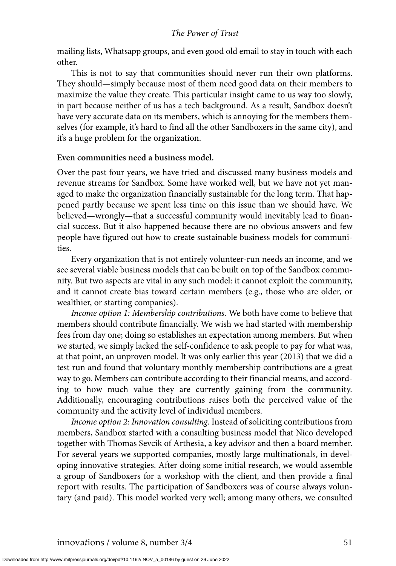mailing lists, Whatsapp groups, and even good old email to stay in touch with each other.

This is not to say that communities should never run their own platforms. They should—simply because most of them need good data on their members to maximize the value they create. This particular insight came to us way too slowly, in part because neither of us has a tech background. As a result, Sandbox doesn't have very accurate data on its members, which is annoying for the members themselves (for example, it's hard to find all the other Sandboxers in the same city), and it's a huge problem for the organization.

## **Even communities need a business model.**

Over the past four years, we have tried and discussed many business models and revenue streams for Sandbox. Some have worked well, but we have not yet managed to make the organization financially sustainable for the long term. That happened partly because we spent less time on this issue than we should have. We believed—wrongly—that a successful community would inevitably lead to financial success. But it also happened because there are no obvious answers and few people have figured out how to create sustainable business models for communities.

Every organization that is not entirely volunteer-run needs an income, and we see several viable business models that can be built on top of the Sandbox community. But two aspects are vital in any such model: it cannot exploit the community, and it cannot create bias toward certain members (e.g., those who are older, or wealthier, or starting companies).

*Income option 1: Membership contributions.* We both have come to believe that members should contribute financially. We wish we had started with membership fees from day one; doing so establishes an expectation among members. But when we started, we simply lacked the self-confidence to ask people to pay for what was, at that point, an unproven model. It was only earlier this year (2013) that we did a test run and found that voluntary monthly membership contributions are a great way to go. Members can contribute according to their financial means, and according to how much value they are currently gaining from the community. Additionally, encouraging contributions raises both the perceived value of the community and the activity level of individual members.

*Income option 2: Innovation consulting.* Instead of soliciting contributions from members, Sandbox started with a consulting business model that Nico developed together with Thomas Sevcik of Arthesia, a key advisor and then a board member. For several years we supported companies, mostly large multinationals, in developing innovative strategies. After doing some initial research, we would assemble a group of Sandboxers for a workshop with the client, and then provide a final report with results. The participation of Sandboxers was of course always voluntary (and paid). This model worked very well; among many others, we consulted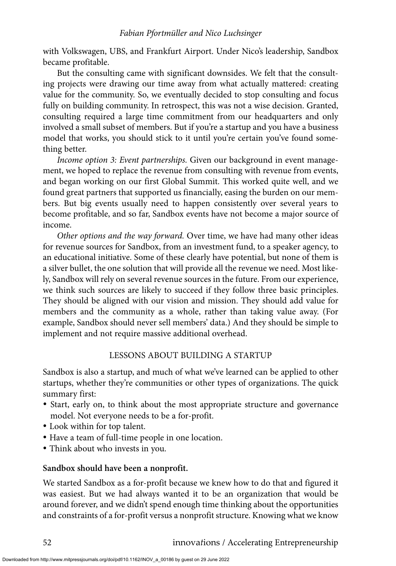with Volkswagen, UBS, and Frankfurt Airport. Under Nico's leadership, Sandbox became profitable.

But the consulting came with significant downsides. We felt that the consulting projects were drawing our time away from what actually mattered: creating value for the community. So, we eventually decided to stop consulting and focus fully on building community. In retrospect, this was not a wise decision. Granted, consulting required a large time commitment from our headquarters and only involved a small subset of members. But if you're a startup and you have a business model that works, you should stick to it until you're certain you've found something better.

*Income option 3: Event partnerships.* Given our background in event management, we hoped to replace the revenue from consulting with revenue from events, and began working on our first Global Summit. This worked quite well, and we found great partners that supported us financially, easing the burden on our members. But big events usually need to happen consistently over several years to become profitable, and so far, Sandbox events have not become a major source of income.

*Other options and the way forward.* Over time, we have had many other ideas for revenue sources for Sandbox, from an investment fund, to a speaker agency, to an educational initiative. Some of these clearly have potential, but none of them is a silver bullet, the one solution that will provide all the revenue we need. Most likely, Sandbox will rely on several revenue sources in the future. From our experience, we think such sources are likely to succeed if they follow three basic principles. They should be aligned with our vision and mission. They should add value for members and the community as a whole, rather than taking value away. (For example, Sandbox should never sell members' data.) And they should be simple to implement and not require massive additional overhead.

# LESSONS ABOUT BUILDING A STARTUP

Sandbox is also a startup, and much of what we've learned can be applied to other startups, whether they're communities or other types of organizations. The quick summary first:

- Start, early on, to think about the most appropriate structure and governance model. Not everyone needs to be a for-profit.
- -Look within for top talent.
- -Have a team of full-time people in one location.
- -Think about who invests in you.

#### **Sandbox should have been a nonprofit.**

We started Sandbox as a for-profit because we knew how to do that and figured it was easiest. But we had always wanted it to be an organization that would be around forever, and we didn't spend enough time thinking about the opportunities and constraints of a for-profit versus a nonprofit structure. Knowing what we know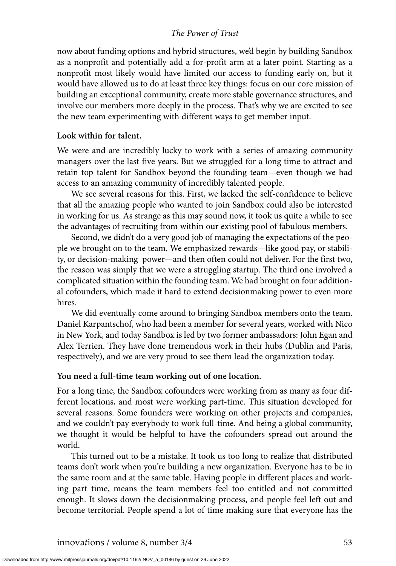now about funding options and hybrid structures, we'd begin by building Sandbox as a nonprofit and potentially add a for-profit arm at a later point. Starting as a nonprofit most likely would have limited our access to funding early on, but it would have allowed us to do at least three key things: focus on our core mission of building an exceptional community, create more stable governance structures, and involve our members more deeply in the process. That's why we are excited to see the new team experimenting with different ways to get member input.

#### **Look within for talent.**

We were and are incredibly lucky to work with a series of amazing community managers over the last five years. But we struggled for a long time to attract and retain top talent for Sandbox beyond the founding team—even though we had access to an amazing community of incredibly talented people.

We see several reasons for this. First, we lacked the self-confidence to believe that all the amazing people who wanted to join Sandbox could also be interested in working for us. As strange as this may sound now, it took us quite a while to see the advantages of recruiting from within our existing pool of fabulous members.

Second, we didn't do a very good job of managing the expectations of the people we brought on to the team. We emphasized rewards—like good pay, or stability, or decision-making power—and then often could not deliver. For the first two, the reason was simply that we were a struggling startup. The third one involved a complicated situation within the founding team. We had brought on four additional cofounders, which made it hard to extend decisionmaking power to even more hires.

We did eventually come around to bringing Sandbox members onto the team. Daniel Karpantschof, who had been a member for several years, worked with Nico in New York, and today Sandbox is led by two former ambassadors: John Egan and Alex Terrien. They have done tremendous work in their hubs (Dublin and Paris, respectively), and we are very proud to see them lead the organization today.

#### **You need a full-time team working out of one location.**

For a long time, the Sandbox cofounders were working from as many as four different locations, and most were working part-time. This situation developed for several reasons. Some founders were working on other projects and companies, and we couldn't pay everybody to work full-time. And being a global community, we thought it would be helpful to have the cofounders spread out around the world.

This turned out to be a mistake. It took us too long to realize that distributed teams don't work when you're building a new organization. Everyone has to be in the same room and at the same table. Having people in different places and working part time, means the team members feel too entitled and not committed enough. It slows down the decisionmaking process, and people feel left out and become territorial. People spend a lot of time making sure that everyone has the